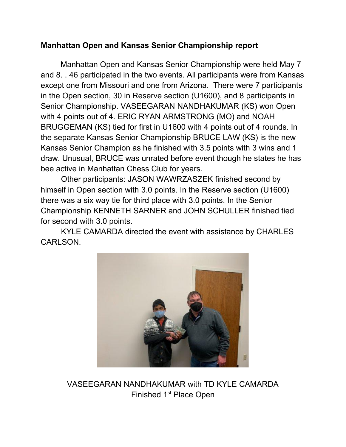## **Manhattan Open and Kansas Senior Championship report**

Manhattan Open and Kansas Senior Championship were held May 7 and 8. . 46 participated in the two events. All participants were from Kansas except one from Missouri and one from Arizona. There were 7 participants in the Open section, 30 in Reserve section (U1600), and 8 participants in Senior Championship. VASEEGARAN NANDHAKUMAR (KS) won Open with 4 points out of 4. ERIC RYAN ARMSTRONG (MO) and NOAH BRUGGEMAN (KS) tied for first in U1600 with 4 points out of 4 rounds. In the separate Kansas Senior Championship BRUCE LAW (KS) is the new Kansas Senior Champion as he finished with 3.5 points with 3 wins and 1 draw. Unusual, BRUCE was unrated before event though he states he has bee active in Manhattan Chess Club for years.

Other participants: JASON WAWRZASZEK finished second by himself in Open section with 3.0 points. In the Reserve section (U1600) there was a six way tie for third place with 3.0 points. In the Senior Championship KENNETH SARNER and JOHN SCHULLER finished tied for second with 3.0 points.

KYLE CAMARDA directed the event with assistance by CHARLES CARLSON.



VASEEGARAN NANDHAKUMAR with TD KYLE CAMARDA Finished 1<sup>st</sup> Place Open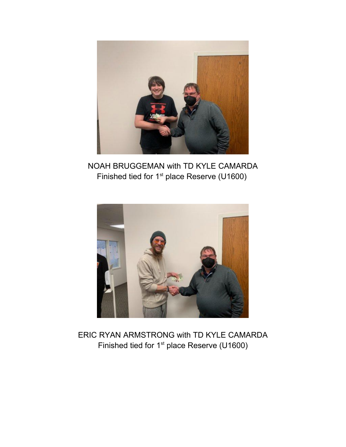

NOAH BRUGGEMAN with TD KYLE CAMARDA Finished tied for 1<sup>st</sup> place Reserve (U1600)



ERIC RYAN ARMSTRONG with TD KYLE CAMARDA Finished tied for 1<sup>st</sup> place Reserve (U1600)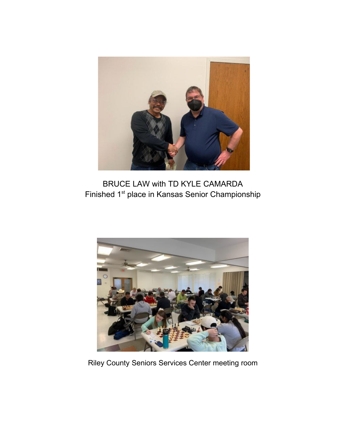

BRUCE LAW with TD KYLE CAMARDA Finished 1st place in Kansas Senior Championship



Riley County Seniors Services Center meeting room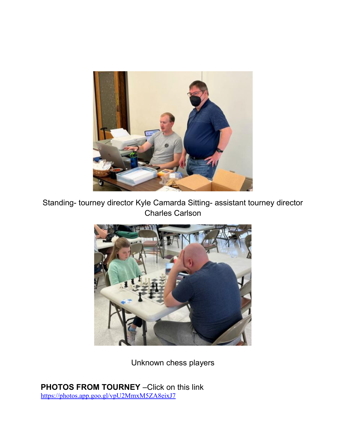

Standing- tourney director Kyle Camarda Sitting- assistant tourney director Charles Carlson



Unknown chess players

**PHOTOS FROM TOURNEY** –Click on this link [https://photos.app.goo.gl/vpU2MmxM5ZA8eixJ7](https://nam12.safelinks.protection.outlook.com/?url=https%3A%2F%2Fphotos.app.goo.gl%2FvpU2MmxM5ZA8eixJ7&data=05%7C01%7C%7C5c21bd0a4dc1479e56ae08da32ca87c3%7C84df9e7fe9f640afb435aaaaaaaaaaaa%7C1%7C0%7C637878142695199808%7CUnknown%7CTWFpbGZsb3d8eyJWIjoiMC4wLjAwMDAiLCJQIjoiV2luMzIiLCJBTiI6Ik1haWwiLCJXVCI6Mn0%3D%7C3000%7C%7C%7C&sdata=Hj659xbJbV3cseWIFsVjXdhfx4VmxfZHM9tVTYbMgXs%3D&reserved=0)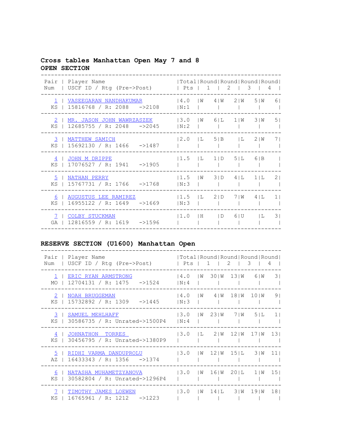## **Cross tables Manhattan Open May 7 and 8 OPEN SECTION**

| Pair   Player Name<br>  USCF ID / Rtg (Pre->Post)<br>Num                          | Total Round Round Round Round <br>  Pts   1   2   3 |                   |              | 4       |                |
|-----------------------------------------------------------------------------------|-----------------------------------------------------|-------------------|--------------|---------|----------------|
| VASEEGARAN NANDHAKUMAR<br>$\mathbf{1}$<br>15816768 / R: 2088 ->2108<br>$KS$       | 14.0<br>IN:1                                        | $1W$ 41W 21W 51W  |              |         | 61             |
| MR. JASON JOHN WAWRZASZEK<br><sup>2</sup><br>$12685755 / R$ : 2048 ->2045<br>$KS$ | 3.0<br>IN:2                                         | $ W \t6 L \t1 W$  |              | 3 W     | 5 <sub>1</sub> |
| MATTHEW SAMICH<br>3<br>15692130 / R: 1466 ->1487<br>$KS$                          | 12.0<br> L 5 B                                      |                   | $\mathbf{L}$ | 2 I W   | 7 <sub>1</sub> |
| JOHN M DRIPPE<br>4  <br>17076527 / R: 1941<br>$-21905$<br>$KS$                    | $ 1.5 $ $ $ $1 $ $1 $ $5 $ $1$                      |                   |              | 6 B     |                |
| 5<br>NATHAN PERRY<br>15767731 / R: 1766 ->1768<br>KS I                            | 11.5<br>IN:3                                        | $ W $ 3   D 4   L |              | $1$   L | 21             |
| AUGUSTUS LEE RAMIREZ<br>6<br>$16955122 / R$ : 1649 ->1669<br>KS 1                 | $1.5$ $L$ $2/D$<br> N:3                             |                   | 7   W        | 4 L     | 1 <sub>1</sub> |
| COLBY STUCKMAN<br>7.<br>$-21596$<br>12816559 / R: 1619<br>GA                      | 11.0<br>IH.                                         | ID                | 6 U          | ΙL.     | 31             |

## **RESERVE SECTION (U1600) Manhattan Open**

| Pair   Player Name<br>USCF ID / Rtg (Pre->Post)<br>Num               | Total   Round   Round   Round   Round  <br>$1 \quad 2 \quad 1$<br>l Pts I<br>3<br>4 |                |
|----------------------------------------------------------------------|-------------------------------------------------------------------------------------|----------------|
| ERIC RYAN ARMSTRONG<br>$12704131 / R: 1475 - 1524$<br>MO             | 30 I W 13 I W<br>$\overline{3}$<br>14.0<br>6 I W<br>l W<br>IN:4                     |                |
| NOAH BRUGGEMAN<br>2<br>$15732892 / R$ : 1309 ->1445<br>KS            | 18   W<br>14.0<br>4 I W<br>10 I W<br>l W<br> N:3                                    | 9 <sub>1</sub> |
| 3<br>SAMUEL MEHLHAFF<br>30586735 / R: Unrated->1500P4<br>KS          | 13.0<br>23   W<br>7 I W<br>51L<br>l W<br>11<br>IN:4                                 |                |
| JOHNATHON<br>TORRES<br>4<br>30456795 / R: Unrated->1380P9<br>$KS$    | 13.0<br>2   W<br>12 I W<br>ΙL<br>17 I W<br>131                                      |                |
| RIDHI VARMA DANDUPROLU<br>5<br>$16433343 / R$ : 1356 ->1374<br>AZ    | $12 W$ $15 L$<br>13.0<br>l M<br>3 W<br>111                                          |                |
| NATASHA MUHAMETZYANOVA<br>6<br>30582804 / R: Unrated->1296P4<br>ΚS   | 20   L<br>13.0<br>151<br>16 I W<br>l W<br>1   W                                     |                |
| TIMOTHY JAMES LOEWEN<br>7<br>$-21223$<br>ΚS<br>16765961 / R:<br>1212 | 13.0<br>$14$   L<br>3 I W<br>19 I W<br>18 <sub>1</sub><br>l M                       |                |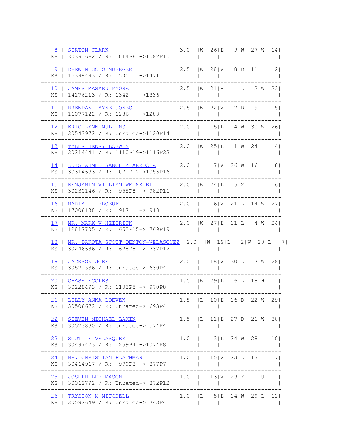| $ 3.0 \tImes 26 $ L 9   W 27   W 14  <br>8   STATON CLARK<br>KS   30391662 / R: 1014P6 ->1082P10                                                                                                                   |                                                                    |              |        |               |                          |                          |                                     |                                                                                                                                                                                                                                      |                |
|--------------------------------------------------------------------------------------------------------------------------------------------------------------------------------------------------------------------|--------------------------------------------------------------------|--------------|--------|---------------|--------------------------|--------------------------|-------------------------------------|--------------------------------------------------------------------------------------------------------------------------------------------------------------------------------------------------------------------------------------|----------------|
| 9   DREW M SCHOENBERGER<br>KS   15398493 / R: 1500 ->1471                                                                                                                                                          | $ 2.5 \t W \t28 W \t8 D \t11 L$<br>$\mathbf{L}$                    | $\mathbb{R}$ |        |               | and the state            |                          |                                     |                                                                                                                                                                                                                                      | 2 <sub>1</sub> |
| 10   JAMES MASARU MYOSE<br>KS   14176213 / R: 1342 ->1336                                                                                                                                                          | $ 2.5 \t W \t21 H \t L$                                            | $\mathbf{L}$ |        |               |                          | $\mathcal{L}$            |                                     | 2 W                                                                                                                                                                                                                                  | 231            |
| 11   BRENDAN LAYNE JONES<br>KS   16077122 / R: 1286 ->1283                                                                                                                                                         | $ 2.5 \t  W 22  W 17  D 9  L$                                      |              |        |               |                          |                          |                                     |                                                                                                                                                                                                                                      | 5 <sub>1</sub> |
| 12   ERIC LYNN MULLINS<br>KS   30543972 / R: Unrated->1120P14                                                                                                                                                      | $ 2.0$ $ $ $L$ $5 $ $L$ $4 $ $W$ $30 $ $W$ $26 $                   |              |        | $\mathcal{L}$ | <b>Contract Contract</b> |                          |                                     |                                                                                                                                                                                                                                      |                |
| 13   TYLER HENRY LOEWEN<br>KS   30214441 / R: 1110P19->1116P23                                                                                                                                                     | $ 2.0 \t W 25 L 1 W 24 L 4 $                                       |              |        | $\mathcal{L}$ |                          | and the state            | the company of the company          |                                                                                                                                                                                                                                      | $\sim$         |
| 14   LUIS AHMED SANCHEZ ARROCHA   2.0   L 7   W 26   W 16   L<br>KS   30314693 / R: 1071P12->1056P16                                                                                                               |                                                                    |              |        |               |                          |                          |                                     |                                                                                                                                                                                                                                      | 81             |
| 15   BENJAMIN WILLIAM WEINZIRL   2.0   W 24   L 5   X   L<br>KS   30230146 / R: 955P8 -> 982P11                                                                                                                    |                                                                    |              |        |               |                          | $\sim 1$                 |                                     |                                                                                                                                                                                                                                      | 61             |
| 16   MARIA E LEBOEUF<br>KS   17006138 / R: 917 -> 918                                                                                                                                                              | $ 2.0$ $ $ L 6 $ $ W 21 $ $ L 14 $ $ W 27 $ $<br><b>The Common</b> | $\mathbf{L}$ |        |               |                          |                          |                                     |                                                                                                                                                                                                                                      |                |
| $ 2.0 \t  W 27  L 11  L 4  W 24 $<br>17   MR. MARK W HEIDRICK                                                                                                                                                      |                                                                    |              |        |               |                          |                          |                                     |                                                                                                                                                                                                                                      |                |
| KS   12817705 / R: 652P15-> 769P19                                                                                                                                                                                 |                                                                    |              |        |               |                          |                          |                                     |                                                                                                                                                                                                                                      |                |
| 18   MR. DAKOTA SCOTT DENTON-VELASOUEZ   2.0   W 19 L 2 W 20 L 7 <br>KS   30246686 / R: 628P8 -> 737P12                                                                                                            |                                                                    |              | $\Box$ |               |                          |                          | and the contract of the contract of |                                                                                                                                                                                                                                      |                |
| 19   JACKSON JOBE<br>KS   30571536 / R: Unrated-> 630P4                                                                                                                                                            | $ 2.0$ $ L 18 W 30 L 7 W 28 $                                      |              |        |               |                          | <b>Contract Contract</b> |                                     |                                                                                                                                                                                                                                      |                |
| 20   CHASE ECCLES<br>KS   30228493 / R: 1103P5 -> 970P8                                                                                                                                                            | $ 1.5 \t W \t29 L \t6 L \t18 H$                                    |              |        |               |                          |                          |                                     |                                                                                                                                                                                                                                      |                |
| $ 1.5$ $ $ $L$ 10 $ $ $L$ 16 $ $ $D$ 22 $ $ $W$ 29 $ $<br>21   LILLY ANNA LOEWEN<br>KS   30506672 / R: Unrated-> 693P4                                                                                             |                                                                    |              |        |               |                          |                          |                                     |                                                                                                                                                                                                                                      | $\sim$         |
| $\begin{array}{cccccccccccc} 22 &   & \texttt{STEVEN MICHAEL LAKIN} & & &  1.5 &  L & 11 L & 27 D & 21 W & 30  \\ \texttt{KS} &   & 30523830 & / R: Unrated->574P4 &   &   &   &   &   &   &   &   \\ \end{array}$ |                                                                    |              |        |               |                          |                          |                                     |                                                                                                                                                                                                                                      |                |
| $ 1.0$ $ $ $ $ $3 $ $ $ $24 $ $ $ $28 $ $ $ $10 $<br>23   SCOTT E VELASQUEZ<br>KS   30497423 / R: 1259P4 ->1074P8                                                                                                  |                                                                    |              |        |               |                          |                          |                                     |                                                                                                                                                                                                                                      |                |
| -----------------------------<br>24   MR. CHRISTIAN FLATHMAN   1.0   1.0   15   W 23   L 13   L 17  <br>KS   30464967 / R: 979P3 -> 877P7                                                                          |                                                                    |              |        |               |                          |                          |                                     |                                                                                                                                                                                                                                      |                |
| ----------------------------<br>25   JOSEPH LEE MASON   1.0   L 13   W 29   F   U<br>KS   30062792 / R: Unrated-> 872P12                                                                                           |                                                                    |              |        |               |                          |                          |                                     | <b>The Contract of the Contract of the Contract of the Contract of the Contract of the Contract of the Contract of the Contract of the Contract of the Contract of the Contract of the Contract of the Contract of the Contract </b> |                |